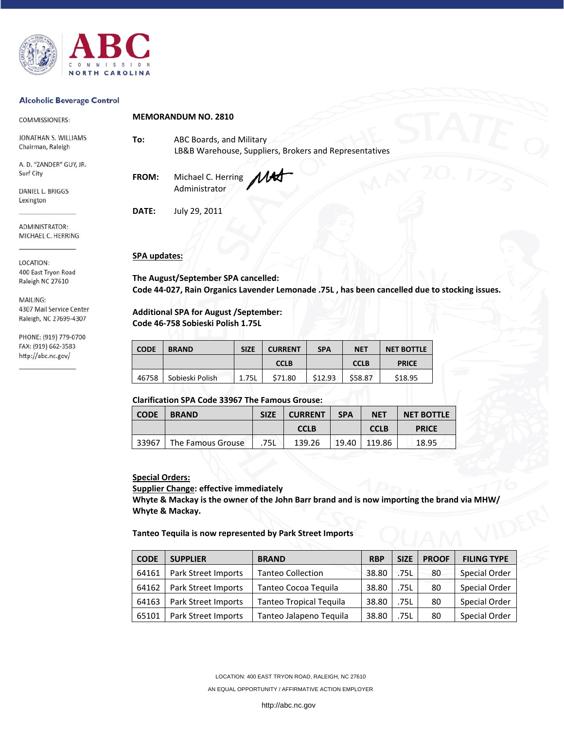

### **Alcoholic Beverage Control**

| COMMISSIONERS:                            | <b>MEMORANDUM NO. 2810</b> |                                                                                    |  |  |  |
|-------------------------------------------|----------------------------|------------------------------------------------------------------------------------|--|--|--|
| JONATHAN S. WILLIAMS<br>Chairman, Raleigh | To:                        | ABC Boards, and Military<br>LB&B Warehouse, Suppliers, Brokers and Representatives |  |  |  |
| A. D. "ZANDER" GUY, JR.<br>Surf City      | FROM:                      | MAS<br>Michael C. Herring                                                          |  |  |  |
| DANIEL L. BRIGGS<br>Lexington             |                            | Administrator                                                                      |  |  |  |
|                                           | DATE:                      | July 29, 2011                                                                      |  |  |  |
| ADMINISTRATOR:<br>MICHAEL C. HERRING      |                            |                                                                                    |  |  |  |

LOCATION: 400 East Tryon Road Raleigh NC 27610

MAILING: 4307 Mail Service Center Raleigh, NC 27699-4307

PHONE: (919) 779-0700 FAX: (919) 662-3583 http://abc.nc.gov/

## **SPA updates:**

**The August/September SPA cancelled: Code 44‐027, Rain Organics Lavender Lemonade .75L , has been cancelled due to stocking issues.** 

**Additional SPA for August /September: Code 46‐758 Sobieski Polish 1.75L** 

| <b>CODE</b> | <b>BRAND</b>    | <b>SIZE</b> | <b>CURRENT</b> | <b>SPA</b> | <b>NET</b>  | <b>NET BOTTLE</b> |  |
|-------------|-----------------|-------------|----------------|------------|-------------|-------------------|--|
|             |                 |             | <b>CCLB</b>    |            | <b>CCLB</b> | <b>PRICE</b>      |  |
| 46758       | Sobieski Polish | 1.75L       | \$71.80        | \$12.93    | \$58.87     | \$18.95           |  |

## **Clarification SPA Code 33967 The Famous Grouse:**

| <b>CODE</b> | <b>BRAND</b>      | <b>SIZE</b> | <b>CURRENT</b> | <b>SPA</b> | <b>NET</b>  | <b>NET BOTTLE</b> |
|-------------|-------------------|-------------|----------------|------------|-------------|-------------------|
|             |                   |             | <b>CCLB</b>    |            | <b>CCLB</b> | <b>PRICE</b>      |
| 33967       | The Famous Grouse | 75L         | 139.26         | 19.40      | 119.86      | 18.95             |

## **Special Orders:**

**Supplier Change: effective immediately**

**Whyte & Mackay is the owner of the John Barr brand and is now importing the brand via MHW/ Whyte & Mackay.** 

#### **Tanteo Tequila is now represented by Park Street Imports**

| <b>CODE</b> | <b>SUPPLIER</b>     | <b>BRAND</b>                   | <b>RBP</b> | <b>SIZE</b> | <b>PROOF</b> | <b>FILING TYPE</b> |
|-------------|---------------------|--------------------------------|------------|-------------|--------------|--------------------|
| 64161       | Park Street Imports | <b>Tanteo Collection</b>       | 38.80      | .75L        | 80           | Special Order      |
| 64162       | Park Street Imports | Tanteo Cocoa Teguila           | 38.80      | .75L        | 80           | Special Order      |
| 64163       | Park Street Imports | <b>Tanteo Tropical Tequila</b> | 38.80      | .75L        | 80           | Special Order      |
| 65101       | Park Street Imports | Tanteo Jalapeno Tequila        | 38.80      | .75L        | 80           | Special Order      |

LOCATION: 400 EAST TRYON ROAD, RALEIGH, NC 27610

AN EQUAL OPPORTUNITY / AFFIRMATIVE ACTION EMPLOYER

http://abc.nc.gov